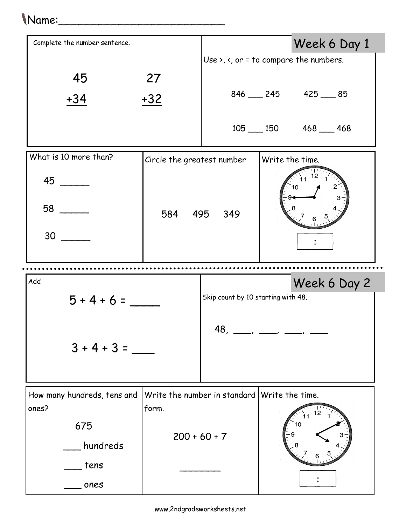## Name:\_\_\_\_\_\_\_\_\_\_\_\_\_\_\_\_\_\_\_\_\_\_\_\_\_

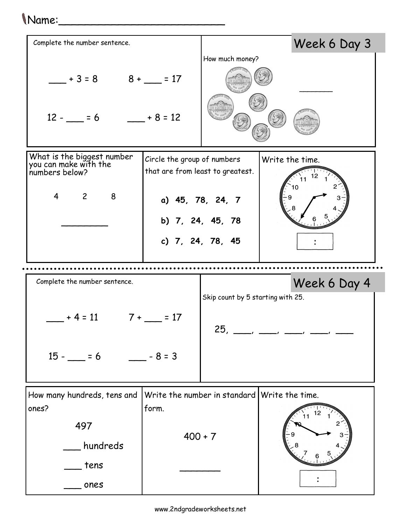## Name:\_\_\_\_\_\_\_\_\_\_\_\_\_\_\_\_\_\_\_\_\_\_\_\_\_